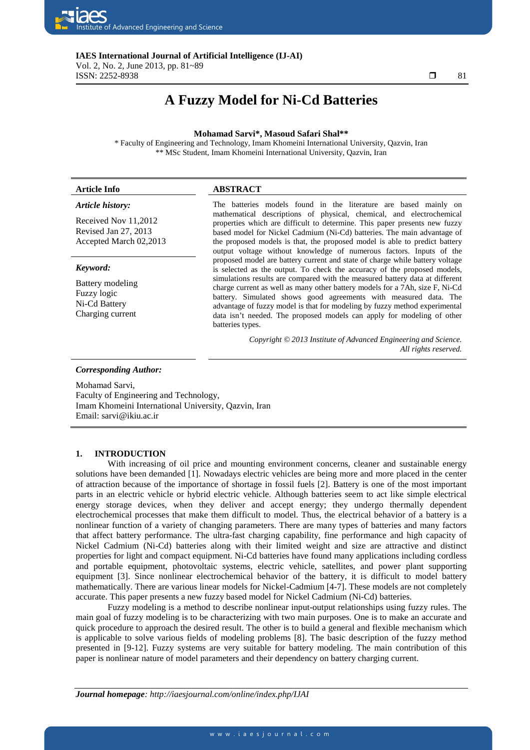

**IAES International Journal of Artificial Intelligence (IJ-AI)**  Vol. 2, No. 2, June 2013, pp. 81~89 **ISSN:** 2252-8938  $\Box$  81

٦

# **A Fuzzy Model for Ni-Cd Batteries**

#### **Mohamad Sarvi\*, Masoud Safari Shal\*\***

\* Faculty of Engineering and Technology, Imam Khomeini International University, Qazvin, Iran \*\* MSc Student, Imam Khomeini International University, Qazvin, Iran

## **Article Info ABSTRACT**

#### *Article history:*

Received Nov 11,2012 Revised Jan 27, 2013 Accepted March 02,2013

#### *Keyword:*

Battery modeling Fuzzy logic Ni-Cd Battery Charging current

The batteries models found in the literature are based mainly on mathematical descriptions of physical, chemical, and electrochemical properties which are difficult to determine. This paper presents new fuzzy based model for Nickel Cadmium (Ni-Cd) batteries. The main advantage of the proposed models is that, the proposed model is able to predict battery output voltage without knowledge of numerous factors. Inputs of the proposed model are battery current and state of charge while battery voltage is selected as the output. To check the accuracy of the proposed models, simulations results are compared with the measured battery data at different charge current as well as many other battery models for a 7Ah, size F, Ni-Cd battery. Simulated shows good agreements with measured data. The advantage of fuzzy model is that for modeling by fuzzy method experimental data isn't needed. The proposed models can apply for modeling of other batteries types.

> *Copyright © 2013 Institute of Advanced Engineering and Science. All rights reserved.*

#### *Corresponding Author:*

Mohamad Sarvi, Faculty of Engineering and Technology, Imam Khomeini International University, Qazvin, Iran Email: sarvi@ikiu.ac.ir

## **1. INTRODUCTION**

With increasing of oil price and mounting environment concerns, cleaner and sustainable energy solutions have been demanded [1]. Nowadays electric vehicles are being more and more placed in the center of attraction because of the importance of shortage in fossil fuels [2]. Battery is one of the most important parts in an electric vehicle or hybrid electric vehicle. Although batteries seem to act like simple electrical energy storage devices, when they deliver and accept energy; they undergo thermally dependent electrochemical processes that make them difficult to model. Thus, the electrical behavior of a battery is a nonlinear function of a variety of changing parameters. There are many types of batteries and many factors that affect battery performance. The ultra-fast charging capability, fine performance and high capacity of Nickel Cadmium (Ni-Cd) batteries along with their limited weight and size are attractive and distinct properties for light and compact equipment. Ni-Cd batteries have found many applications including cordless and portable equipment, photovoltaic systems, electric vehicle, satellites, and power plant supporting equipment [3]. Since nonlinear electrochemical behavior of the battery, it is difficult to model battery mathematically. There are various linear models for Nickel-Cadmium [4-7]. These models are not completely accurate. This paper presents a new fuzzy based model for Nickel Cadmium (Ni-Cd) batteries.

Fuzzy modeling is a method to describe nonlinear input-output relationships using fuzzy rules. The main goal of fuzzy modeling is to be characterizing with two main purposes. One is to make an accurate and quick procedure to approach the desired result. The other is to build a general and flexible mechanism which is applicable to solve various fields of modeling problems [8]. The basic description of the fuzzy method presented in [9-12]. Fuzzy systems are very suitable for battery modeling. The main contribution of this paper is nonlinear nature of model parameters and their dependency on battery charging current.

*Journal homepage: http://iaesjournal.com/online/index.php/IJAI*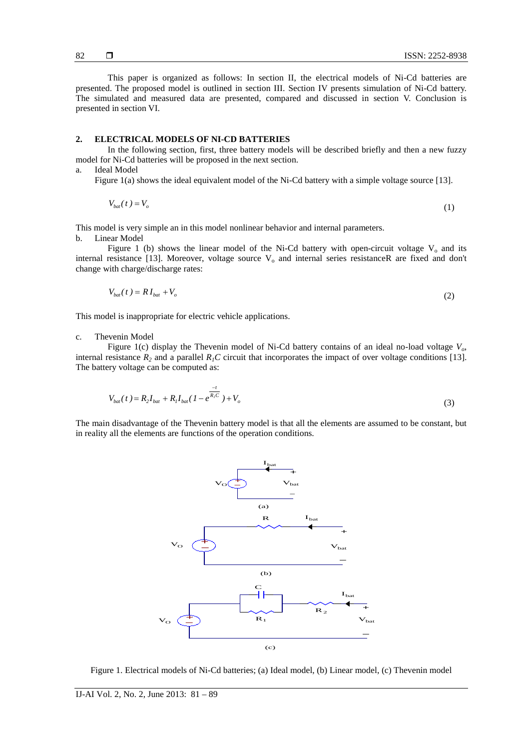This paper is organized as follows: In section II, the electrical models of Ni-Cd batteries are presented. The proposed model is outlined in section III. Section IV presents simulation of Ni-Cd battery. The simulated and measured data are presented, compared and discussed in section V. Conclusion is presented in section VI.

#### **2. ELECTRICAL MODELS OF NI-CD BATTERIES**

In the following section, first, three battery models will be described briefly and then a new fuzzy model for Ni-Cd batteries will be proposed in the next section.

a. Ideal Model

Figure 1(a) shows the ideal equivalent model of the Ni-Cd battery with a simple voltage source [13].

$$
V_{bat}(t) = V_o \tag{1}
$$

This model is very simple an in this model nonlinear behavior and internal parameters.

b. Linear Model

Figure 1 (b) shows the linear model of the Ni-Cd battery with open-circuit voltage  $V_0$  and its internal resistance [13]. Moreover, voltage source  $V_0$  and internal series resistanceR are fixed and don't change with charge/discharge rates:

$$
V_{bat}(t) = RI_{bat} + V_o \tag{2}
$$

This model is inappropriate for electric vehicle applications.

#### c. Thevenin Model

Figure 1(c) display the Thevenin model of Ni-Cd battery contains of an ideal no-load voltage *Vo*, internal resistance  $R_2$  and a parallel  $R_1C$  circuit that incorporates the impact of over voltage conditions [13]. The battery voltage can be computed as:

$$
V_{bat}(t) = R_2 I_{bat} + R_1 I_{bat} (1 - e^{\frac{-t}{R_1 C}}) + V_o
$$
\n(3)

The main disadvantage of the Thevenin battery model is that all the elements are assumed to be constant, but in reality all the elements are functions of the operation conditions.



Figure 1. Electrical models of Ni-Cd batteries; (a) Ideal model, (b) Linear model, (c) Thevenin model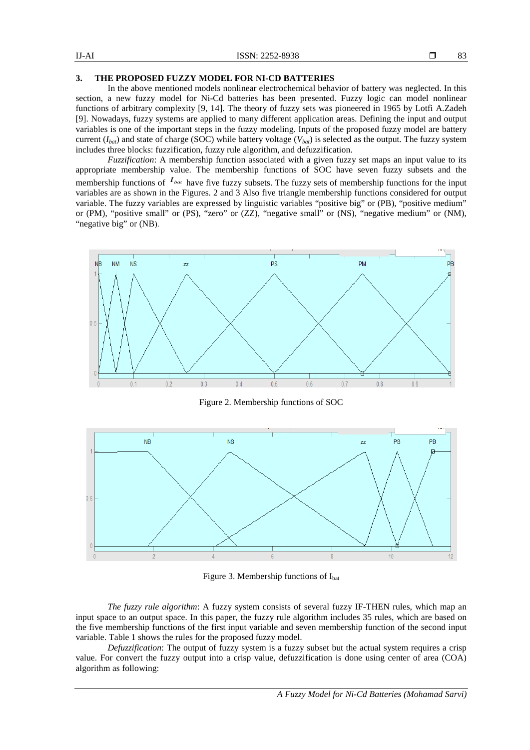## **3. THE PROPOSED FUZZY MODEL FOR NI-CD BATTERIES**

In the above mentioned models nonlinear electrochemical behavior of battery was neglected. In this section, a new fuzzy model for Ni-Cd batteries has been presented. Fuzzy logic can model nonlinear functions of arbitrary complexity [9, 14]. The theory of fuzzy sets was pioneered in 1965 by Lotfi A.Zadeh [9]. Nowadays, fuzzy systems are applied to many different application areas. Defining the input and output variables is one of the important steps in the fuzzy modeling. Inputs of the proposed fuzzy model are battery current  $(I_{bat})$  and state of charge (SOC) while battery voltage ( $V_{bat}$ ) is selected as the output. The fuzzy system includes three blocks: fuzzification, fuzzy rule algorithm, and defuzzification.

*Fuzzification*: A membership function associated with a given fuzzy set maps an input value to its appropriate membership value. The membership functions of SOC have seven fuzzy subsets and the membership functions of  $I_{bat}$  have five fuzzy subsets. The fuzzy sets of membership functions for the input variables are as shown in the Figures. 2 and 3 Also five triangle membership functions considered for output variable. The fuzzy variables are expressed by linguistic variables "positive big" or (PB), "positive medium" or (PM), "positive small" or (PS), "zero" or (ZZ), "negative small" or (NS), "negative medium" or (NM), "negative big" or (NB).



Figure 2. Membership functions of SOC



Figure 3. Membership functions of  $I<sub>bat</sub>$ 

*The fuzzy rule algorithm*: A fuzzy system consists of several fuzzy IF-THEN rules, which map an input space to an output space. In this paper, the fuzzy rule algorithm includes 35 rules, which are based on the five membership functions of the first input variable and seven membership function of the second input variable. Table 1 shows the rules for the proposed fuzzy model.

*Defuzzification*: The output of fuzzy system is a fuzzy subset but the actual system requires a crisp value. For convert the fuzzy output into a crisp value, defuzzification is done using center of area (COA) algorithm as following: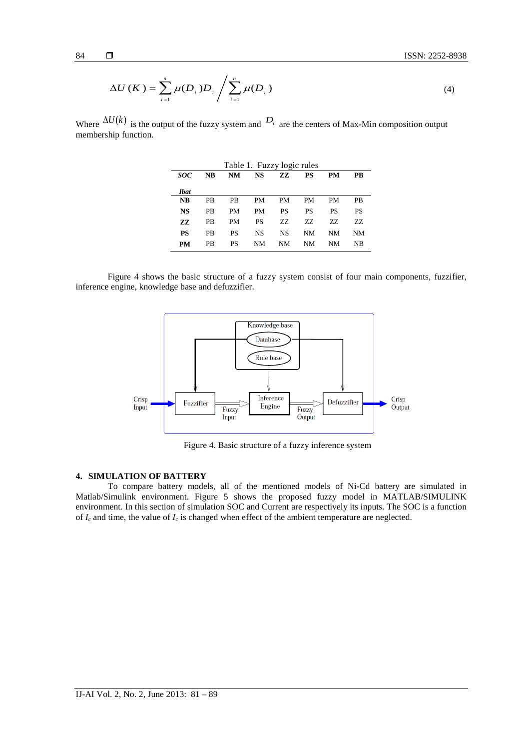$$
\Delta U\left(K\right) = \sum_{i=1}^{n} \mu(D_i) D_i / \sum_{i=1}^{n} \mu(D_i)
$$
\n(4)

Where  $\Delta U(k)$  is the output of the fuzzy system and  $D_i$  are the centers of Max-Min composition output membership function.

| Table 1. Fuzzy logic rules |           |           |           |           |     |           |           |
|----------------------------|-----------|-----------|-----------|-----------|-----|-----------|-----------|
| <b>SOC</b>                 | <b>NB</b> | NM        | NS        | zz        | PS  | PМ        | PB        |
| Ibat                       |           |           |           |           |     |           |           |
| NB                         | <b>PB</b> | <b>PB</b> | PМ        | <b>PM</b> | PM  | PМ        | <b>PB</b> |
| <b>NS</b>                  | PB        | PM        | PM        | <b>PS</b> | PS  | <b>PS</b> | PS        |
| ZZ.                        | PB        | PM        | PS        | ZZ.       | 77. | 77.       | 77.       |
| PS                         | <b>PB</b> | PS        | <b>NS</b> | <b>NS</b> | NΜ  | NΜ        | NΜ        |
| PМ                         | PB        | PS        | NΜ        | NΜ        | NΜ  | NΜ        | NB        |

Figure 4 shows the basic structure of a fuzzy system consist of four main components, fuzzifier, inference engine, knowledge base and defuzzifier.



Figure 4. Basic structure of a fuzzy inference system

## **4. SIMULATION OF BATTERY**

To compare battery models, all of the mentioned models of Ni-Cd battery are simulated in Matlab/Simulink environment. Figure 5 shows the proposed fuzzy model in MATLAB/SIMULINK environment. In this section of simulation SOC and Current are respectively its inputs. The SOC is a function of  $I_c$  and time, the value of  $I_c$  is changed when effect of the ambient temperature are neglected.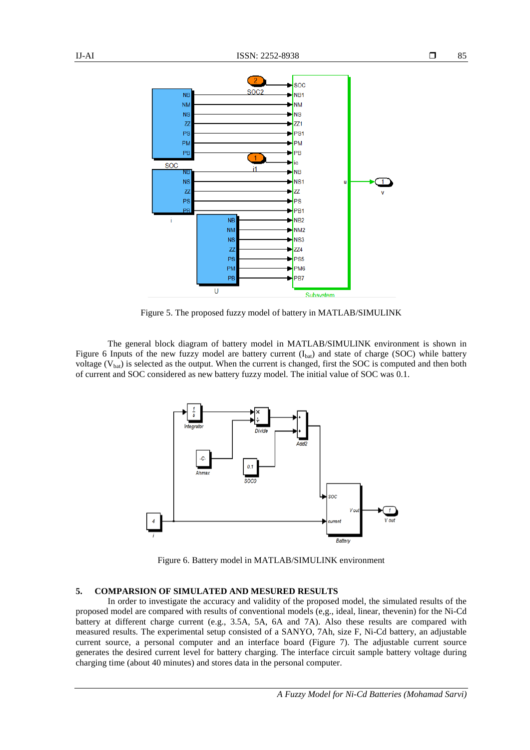

Figure 5. The proposed fuzzy model of battery in MATLAB/SIMULINK

The general block diagram of battery model in MATLAB/SIMULINK environment is shown in Figure 6 Inputs of the new fuzzy model are battery current  $(I_{bat})$  and state of charge (SOC) while battery voltage  $(V_{bat})$  is selected as the output. When the current is changed, first the SOC is computed and then both of current and SOC considered as new battery fuzzy model. The initial value of SOC was 0.1.



Figure 6. Battery model in MATLAB/SIMULINK environment

## **5. COMPARSION OF SIMULATED AND MESURED RESULTS**

In order to investigate the accuracy and validity of the proposed model, the simulated results of the proposed model are compared with results of conventional models (e,g., ideal, linear, thevenin) for the Ni-Cd battery at different charge current (e.g., 3.5A, 5A, 6A and 7A). Also these results are compared with measured results. The experimental setup consisted of a SANYO, 7Ah, size F, Ni-Cd battery, an adjustable current source, a personal computer and an interface board (Figure 7). The adjustable current source generates the desired current level for battery charging. The interface circuit sample battery voltage during charging time (about 40 minutes) and stores data in the personal computer.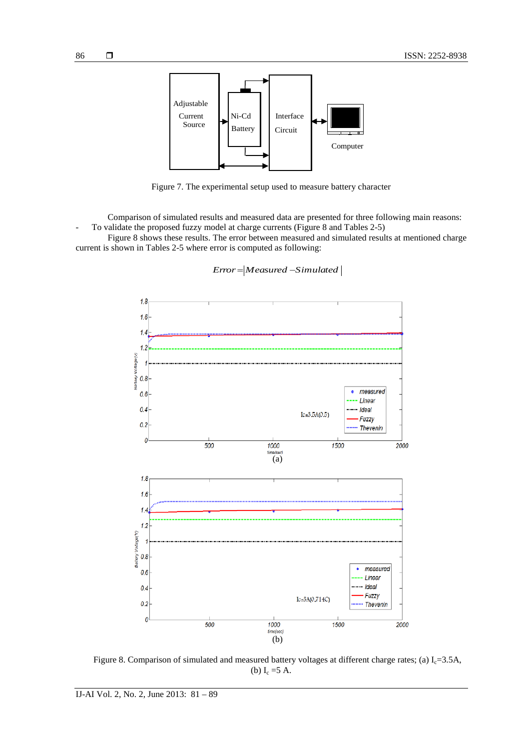



Figure 7. The experimental setup used to measure battery character

Comparison of simulated results and measured data are presented for three following main reasons: To validate the proposed fuzzy model at charge currents (Figure 8 and Tables 2-5)

Figure 8 shows these results. The error between measured and simulated results at mentioned charge current is shown in Tables 2-5 where error is computed as following:



*Error* = | Measured - Simulated |

Figure 8. Comparison of simulated and measured battery voltages at different charge rates; (a)  $I<sub>c</sub>=3.5A$ , (b)  $I_c = 5 A$ .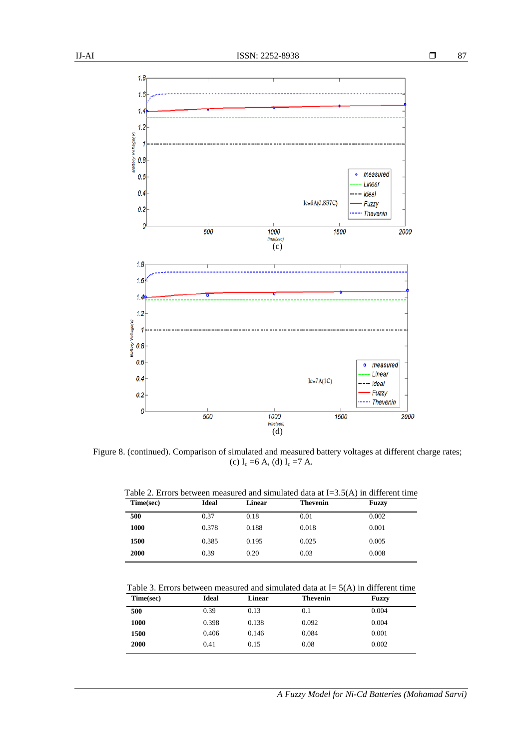

(d) Figure 8. (continued). Comparison of simulated and measured battery voltages at different charge rates; (c)  $I_c = 6 A$ , (d)  $I_c = 7 A$ .

1000

time(sec)

Table 2. Errors between measured and simulated data at I=3.5(A) in different time

| Time(sec) | <b>Ideal</b> | Linear | <b>Thevenin</b> | <b>Fuzzy</b> |
|-----------|--------------|--------|-----------------|--------------|
| 500       | 0.37         | 0.18   | 0.01            | 0.002        |
| 1000      | 0.378        | 0.188  | 0.018           | 0.001        |
| 1500      | 0.385        | 0.195  | 0.025           | 0.005        |
| 2000      | 0.39         | 0.20   | 0.03            | 0.008        |

Table 3. Errors between measured and simulated data at  $I = 5(A)$  in different time

| Time(sec) | <b>Ideal</b> | Linear | <b>Thevenin</b> | <b>Fuzzy</b> |
|-----------|--------------|--------|-----------------|--------------|
| 500       | 0.39         | 0.13   | 0.1             | 0.004        |
| 1000      | 0.398        | 0.138  | 0.092           | 0.004        |
| 1500      | 0.406        | 0.146  | 0.084           | 0.001        |
| 2000      | 0.41         | 0.15   | 0.08            | 0.002        |

0

500

**Thevenin** 

2000

1500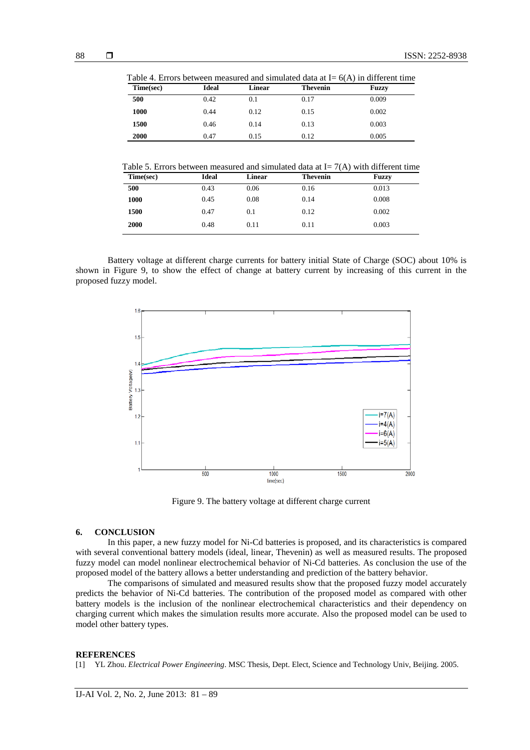| Time(sec) | <b>Ideal</b> | Linear | <b>Thevenin</b> | Fuzzy |
|-----------|--------------|--------|-----------------|-------|
| 500       | 0.42         | 0.1    | 0.17            | 0.009 |
| 1000      | 0.44         | 0.12   | 0.15            | 0.002 |
| 1500      | 0.46         | 0.14   | 0.13            | 0.003 |
| 2000      | 0.47         | 0.15   | 0.12            | 0.005 |

Table 4. Errors between measured and simulated data at  $I = 6(\lambda)$  in different time

Table 5. Errors between measured and simulated data at  $I = 7(A)$  with different time

Battery voltage at different charge currents for battery initial State of Charge (SOC) about 10% is shown in Figure 9, to show the effect of change at battery current by increasing of this current in the proposed fuzzy model.



Figure 9. The battery voltage at different charge current

#### **6. CONCLUSION**

In this paper, a new fuzzy model for Ni-Cd batteries is proposed, and its characteristics is compared with several conventional battery models (ideal, linear, Thevenin) as well as measured results. The proposed fuzzy model can model nonlinear electrochemical behavior of Ni-Cd batteries. As conclusion the use of the proposed model of the battery allows a better understanding and prediction of the battery behavior.

The comparisons of simulated and measured results show that the proposed fuzzy model accurately predicts the behavior of Ni-Cd batteries. The contribution of the proposed model as compared with other battery models is the inclusion of the nonlinear electrochemical characteristics and their dependency on charging current which makes the simulation results more accurate. Also the proposed model can be used to model other battery types.

#### **REFERENCES**

[1] YL Zhou. *Electrical Power Engineering*. MSC Thesis, Dept. Elect, Science and Technology Univ, Beijing. 2005.